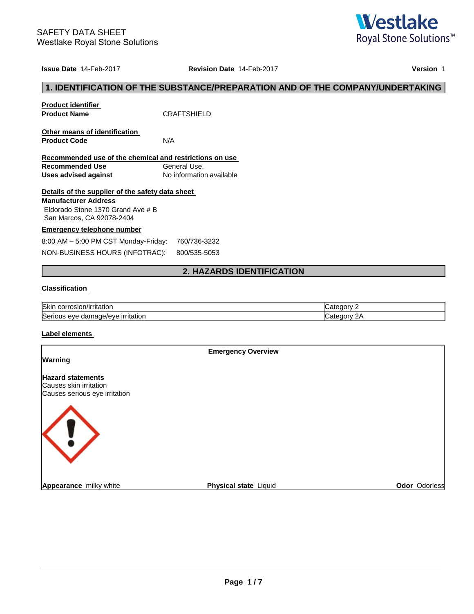

#### **Issue Date** 14-Feb-2017 **Revision Date** 14-Feb-2017 **Version** 1

## **1. IDENTIFICATION OF THE SUBSTANCE/PREPARATION AND OF THE COMPANY/UNDERTAKING**

| <b>Product identifier</b><br><b>Product Name</b>                                                                                                  | <b>CRAFTSHIFLD</b>       |
|---------------------------------------------------------------------------------------------------------------------------------------------------|--------------------------|
| Other means of identification<br><b>Product Code</b>                                                                                              | N/A                      |
| Recommended use of the chemical and restrictions on use                                                                                           |                          |
| Recommended Use                                                                                                                                   | General Use.             |
| Uses advised against                                                                                                                              | No information available |
| Details of the supplier of the safety data sheet<br><b>Manufacturer Address</b><br>Eldorado Stone 1370 Grand Ave # B<br>San Marcos, CA 92078-2404 |                          |
| <b>Emergency telephone number</b>                                                                                                                 |                          |
| 8:00 AM = 5:00 PM CST Monday-Friday:                                                                                                              | 760/736-3232             |

## 8:00 AM – 5:00 PM CST Monday-Friday: 760/736-32

| NON-BUSINESS HOURS (INFOTRAC): | 800/535-5053 |
|--------------------------------|--------------|
|--------------------------------|--------------|

## **2. HAZARDS IDENTIFICATION**

### **Classification**

| Skin                                               | `tegorv          |
|----------------------------------------------------|------------------|
| corrosion/irritation                               | Cale             |
| Serious<br>imade/eve<br>, irritation<br>eve<br>dar | ≅aory ≀<br>⊶ااoب |

#### **Label elements**

|                                                    | <b>Emergency Overview</b> |                      |
|----------------------------------------------------|---------------------------|----------------------|
| Warning                                            |                           |                      |
| <b>Hazard statements</b><br>Causes skin irritation |                           |                      |
| Causes serious eye irritation                      |                           |                      |
| $\langle 1 \rangle$                                |                           |                      |
| Appearance milky white                             | Physical state Liquid     | <b>Odor Odorless</b> |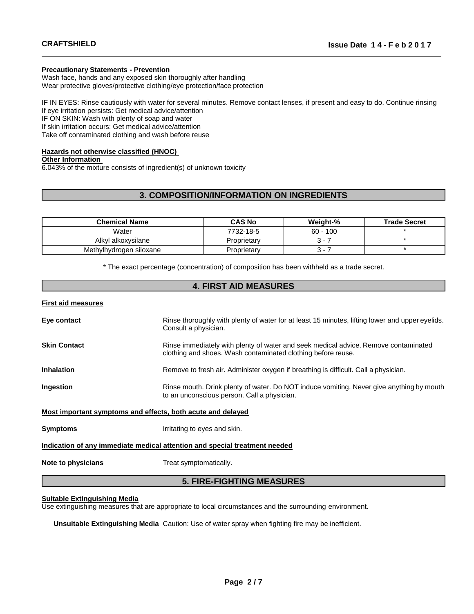#### **Precautionary Statements - Prevention**

Wash face, hands and any exposed skin thoroughly after handling Wear protective gloves/protective clothing/eye protection/face protection

IF IN EYES: Rinse cautiously with water for several minutes. Remove contact lenses, if present and easy to do. Continue rinsing If eye irritation persists: Get medical advice/attention IF ON SKIN: Wash with plenty of soap and water If skin irritation occurs: Get medical advice/attention

Take off contaminated clothing and wash before reuse

### **Hazards not otherwise classified (HNOC)**

#### **Other Information**

6.043% of the mixture consists of ingredient(s) of unknown toxicity

## **3. COMPOSITION/INFORMATION ON INGREDIENTS**

| <b>Chemical Name</b>    | <b>CAS No</b> | Weight-%   | <b>Trade Secret</b> |
|-------------------------|---------------|------------|---------------------|
| Water                   | 7732-18-5     | $60 - 100$ |                     |
| Alkyl alkoxysilane      | Proprietarv   | $3 - 1$    |                     |
| Methylhydrogen siloxane | Proprietarv   | s –        |                     |

\* The exact percentage (concentration) of composition has been withheld as a trade secret.

## **4. FIRST AID MEASURES**

#### **First aid measures**

| Eye contact                                                                | Rinse thoroughly with plenty of water for at least 15 minutes, lifting lower and upper eyelids.<br>Consult a physician.                             |  |  |  |
|----------------------------------------------------------------------------|-----------------------------------------------------------------------------------------------------------------------------------------------------|--|--|--|
| <b>Skin Contact</b>                                                        | Rinse immediately with plenty of water and seek medical advice. Remove contaminated<br>clothing and shoes. Wash contaminated clothing before reuse. |  |  |  |
| <b>Inhalation</b>                                                          | Remove to fresh air. Administer oxygen if breathing is difficult. Call a physician.                                                                 |  |  |  |
| Ingestion                                                                  | Rinse mouth. Drink plenty of water. Do NOT induce vomiting. Never give anything by mouth<br>to an unconscious person. Call a physician.             |  |  |  |
| Most important symptoms and effects, both acute and delayed                |                                                                                                                                                     |  |  |  |
| <b>Symptoms</b>                                                            | Irritating to eyes and skin.                                                                                                                        |  |  |  |
| Indication of any immediate medical attention and special treatment needed |                                                                                                                                                     |  |  |  |
| Note to physicians<br>Treat symptomatically.                               |                                                                                                                                                     |  |  |  |
| <b>5. FIRE-FIGHTING MEASURES</b>                                           |                                                                                                                                                     |  |  |  |

#### **Suitable Extinguishing Media**

Use extinguishing measures that are appropriate to local circumstances and the surrounding environment.

**Unsuitable Extinguishing Media** Caution: Use of water spray when fighting fire may be inefficient.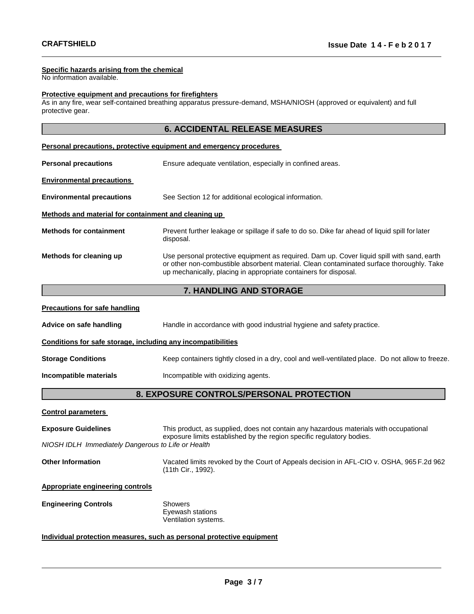#### **Specific hazards arising from the chemical**

No information available.

#### **Protective equipment and precautions for firefighters**

As in any fire, wear self-contained breathing apparatus pressure-demand, MSHA/NIOSH (approved or equivalent) and full protective gear.

| <b>6. ACCIDENTAL RELEASE MEASURES</b>                               |                                                                                                                                                                                                                                                            |  |  |  |
|---------------------------------------------------------------------|------------------------------------------------------------------------------------------------------------------------------------------------------------------------------------------------------------------------------------------------------------|--|--|--|
| Personal precautions, protective equipment and emergency procedures |                                                                                                                                                                                                                                                            |  |  |  |
| <b>Personal precautions</b>                                         | Ensure adequate ventilation, especially in confined areas.                                                                                                                                                                                                 |  |  |  |
| <b>Environmental precautions</b>                                    |                                                                                                                                                                                                                                                            |  |  |  |
| <b>Environmental precautions</b>                                    | See Section 12 for additional ecological information.                                                                                                                                                                                                      |  |  |  |
| Methods and material for containment and cleaning up                |                                                                                                                                                                                                                                                            |  |  |  |
| <b>Methods for containment</b>                                      | Prevent further leakage or spillage if safe to do so. Dike far ahead of liquid spill for later<br>disposal.                                                                                                                                                |  |  |  |
| Methods for cleaning up                                             | Use personal protective equipment as required. Dam up. Cover liquid spill with sand, earth<br>or other non-combustible absorbent material. Clean contaminated surface thoroughly. Take<br>up mechanically, placing in appropriate containers for disposal. |  |  |  |
|                                                                     | <b>7. HANDLING AND STORAGE</b>                                                                                                                                                                                                                             |  |  |  |
| <b>Precautions for safe handling</b>                                |                                                                                                                                                                                                                                                            |  |  |  |
| Advice on safe handling                                             | Handle in accordance with good industrial hygiene and safety practice.                                                                                                                                                                                     |  |  |  |
| Conditions for safe storage, including any incompatibilities        |                                                                                                                                                                                                                                                            |  |  |  |
| <b>Storage Conditions</b>                                           | Keep containers tightly closed in a dry, cool and well-ventilated place. Do not allow to freeze.                                                                                                                                                           |  |  |  |

# **Incompatible materials Incompatible with oxidizing agents.**

## **8. EXPOSURE CONTROLS/PERSONAL PROTECTION**

### **Control parameters**

| <b>Exposure Guidelines</b>                                                                                                                 | This product, as supplied, does not contain any hazardous materials with occupational<br>exposure limits established by the region specific regulatory bodies. |  |  |  |
|--------------------------------------------------------------------------------------------------------------------------------------------|----------------------------------------------------------------------------------------------------------------------------------------------------------------|--|--|--|
| NIOSH IDLH Immediately Dangerous to Life or Health                                                                                         |                                                                                                                                                                |  |  |  |
| Vacated limits revoked by the Court of Appeals decision in AFL-CIO v. OSHA, 965 F.2d 962<br><b>Other Information</b><br>(11th Cir., 1992). |                                                                                                                                                                |  |  |  |
| Appropriate engineering controls                                                                                                           |                                                                                                                                                                |  |  |  |
| <b>Engineering Controls</b>                                                                                                                | <b>Showers</b><br>Eyewash stations<br>Ventilation systems.                                                                                                     |  |  |  |
| Individual protection measures, such as personal protective equipment                                                                      |                                                                                                                                                                |  |  |  |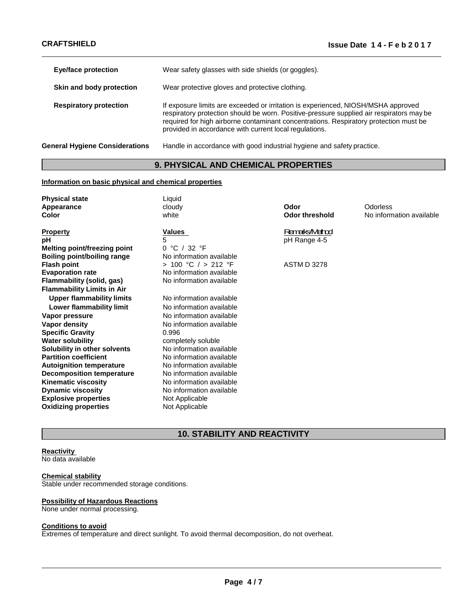| <b>Eye/face protection</b>            | Wear safety glasses with side shields (or goggles).                                                                                                                                                                                                                                                                              |  |
|---------------------------------------|----------------------------------------------------------------------------------------------------------------------------------------------------------------------------------------------------------------------------------------------------------------------------------------------------------------------------------|--|
| Skin and body protection              | Wear protective gloves and protective clothing.                                                                                                                                                                                                                                                                                  |  |
| <b>Respiratory protection</b>         | If exposure limits are exceeded or irritation is experienced, NIOSH/MSHA approved<br>respiratory protection should be worn. Positive-pressure supplied air respirators may be<br>required for high airborne contaminant concentrations. Respiratory protection must be<br>provided in accordance with current local regulations. |  |
| <b>General Hygiene Considerations</b> | Handle in accordance with good industrial hygiene and safety practice.                                                                                                                                                                                                                                                           |  |

## **9. PHYSICAL AND CHEMICAL PROPERTIES**

#### **Information on basic physical and chemical properties**

| <b>Physical state</b>               | Liquid                   |                       |                          |
|-------------------------------------|--------------------------|-----------------------|--------------------------|
| Appearance                          | cloudy                   | Odor                  | Odorless                 |
| Color                               | white                    | <b>Odor threshold</b> | No information available |
| <b>Property</b>                     | <b>Values</b>            | Remats/Method         |                          |
| рH                                  | 5                        | pH Range 4-5          |                          |
| <b>Melting point/freezing point</b> | 0 °C / 32 °F             |                       |                          |
| <b>Boiling point/boiling range</b>  | No information available |                       |                          |
| <b>Flash point</b>                  | > 100 °C / > 212 °F      | <b>ASTM D 3278</b>    |                          |
| <b>Evaporation rate</b>             | No information available |                       |                          |
| Flammability (solid, gas)           | No information available |                       |                          |
| <b>Flammability Limits in Air</b>   |                          |                       |                          |
| <b>Upper flammability limits</b>    | No information available |                       |                          |
| Lower flammability limit            | No information available |                       |                          |
| Vapor pressure                      | No information available |                       |                          |
| Vapor density                       | No information available |                       |                          |
| <b>Specific Gravity</b>             | 0.996                    |                       |                          |
| <b>Water solubility</b>             | completely soluble       |                       |                          |
| Solubility in other solvents        | No information available |                       |                          |
| <b>Partition coefficient</b>        | No information available |                       |                          |
| <b>Autoignition temperature</b>     | No information available |                       |                          |
| <b>Decomposition temperature</b>    | No information available |                       |                          |
| <b>Kinematic viscosity</b>          | No information available |                       |                          |
| <b>Dynamic viscosity</b>            | No information available |                       |                          |
| <b>Explosive properties</b>         | Not Applicable           |                       |                          |
| <b>Oxidizing properties</b>         | Not Applicable           |                       |                          |

## **10. STABILITY AND REACTIVITY**

## **Reactivity**

No data available

#### **Chemical stability**

Stable under recommended storage conditions.

### **Possibility of Hazardous Reactions**

None under normal processing.

#### **Conditions to avoid**

Extremes of temperature and direct sunlight. To avoid thermal decomposition, do not overheat.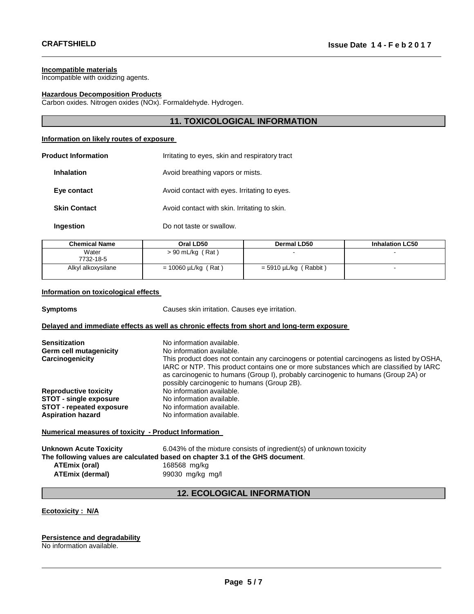#### **Incompatible materials**

Incompatible with oxidizing agents.

#### **Hazardous Decomposition Products**

Carbon oxides. Nitrogen oxides (NOx). Formaldehyde. Hydrogen.

### **11. TOXICOLOGICAL INFORMATION**

#### **Information on likely routes of exposure**

| <b>Product Information</b> | Irritating to eyes, skin and respiratory tract |
|----------------------------|------------------------------------------------|
| <b>Inhalation</b>          | Avoid breathing vapors or mists.               |
| Eye contact                | Avoid contact with eyes. Irritating to eyes.   |
| <b>Skin Contact</b>        | Avoid contact with skin. Irritating to skin.   |
| Ingestion                  | Do not taste or swallow.                       |

| <b>Chemical Name</b> | Oral LD50                | <b>Dermal LD50</b>         | <b>Inhalation LC50</b> |
|----------------------|--------------------------|----------------------------|------------------------|
| Water<br>7732-18-5   | $> 90$ mL/kg (Rat)       | $\overline{\phantom{a}}$   | -                      |
| Alkyl alkoxysilane   | $= 10060 \mu L/kg$ (Rat) | (Rabbit)<br>= 5910 µL/kg ( |                        |

#### **Information on toxicological effects**

**Symptoms** Causes skin irritation. Causes eye irritation. **Delayed and immediate effects as well as chronic effects from short and long-term exposure** 

| No information available.                                                                                                                                                                                                                                                 |
|---------------------------------------------------------------------------------------------------------------------------------------------------------------------------------------------------------------------------------------------------------------------------|
| No information available.                                                                                                                                                                                                                                                 |
| This product does not contain any carcinogens or potential carcinogens as listed by OSHA,<br>IARC or NTP. This product contains one or more substances which are classified by IARC<br>as carcinogenic to humans (Group I), probably carcinogenic to humans (Group 2A) or |
| possibly carcinogenic to humans (Group 2B).                                                                                                                                                                                                                               |
| No information available.                                                                                                                                                                                                                                                 |
| No information available.                                                                                                                                                                                                                                                 |
| No information available.                                                                                                                                                                                                                                                 |
| No information available.                                                                                                                                                                                                                                                 |
|                                                                                                                                                                                                                                                                           |

### **Numerical measures of toxicity - Product Information**

| <b>Unknown Acute Toxicity</b>                                                 | 6.043% of the mixture consists of ingredient(s) of unknown toxicity |  |  |
|-------------------------------------------------------------------------------|---------------------------------------------------------------------|--|--|
| The following values are calculated based on chapter 3.1 of the GHS document. |                                                                     |  |  |
| <b>ATEmix (oral)</b>                                                          | 168568 mg/kg                                                        |  |  |
| <b>ATEmix (dermal)</b>                                                        | 99030 mg/kg mg/l                                                    |  |  |

## **12. ECOLOGICAL INFORMATION**

#### **Ecotoxicity : N/A**

### **Persistence and degradability**

No information available.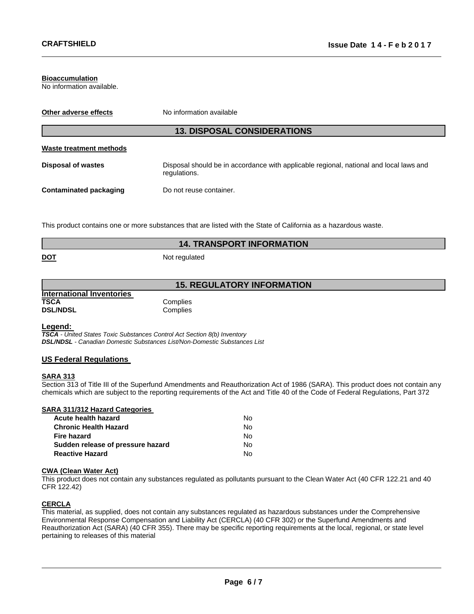#### **Bioaccumulation**

No information available.

| Other adverse effects         | No information available                                                                               |
|-------------------------------|--------------------------------------------------------------------------------------------------------|
|                               | <b>13. DISPOSAL CONSIDERATIONS</b>                                                                     |
| Waste treatment methods       |                                                                                                        |
| <b>Disposal of wastes</b>     | Disposal should be in accordance with applicable regional, national and local laws and<br>regulations. |
| <b>Contaminated packaging</b> | Do not reuse container.                                                                                |

This product contains one or more substances that are listed with the State of California as a hazardous waste.

|            | <b>14. TRANSPORT INFORMATION</b> |  |  |
|------------|----------------------------------|--|--|
| <b>DOT</b> | Not regulated                    |  |  |

## **15. REGULATORY INFORMATION**

| <b>International Inventories</b> |          |
|----------------------------------|----------|
| TSCA                             | Complies |
| <b>DSL/NDSL</b>                  | Complies |

#### **Legend:**

*TSCA - United States Toxic Substances Control Act Section 8(b) Inventory DSL/NDSL - Canadian Domestic Substances List/Non-Domestic Substances List*

#### **US Federal Regulations**

#### **SARA 313**

Section 313 of Title III of the Superfund Amendments and Reauthorization Act of 1986 (SARA). This product does not contain any chemicals which are subject to the reporting requirements of the Act and Title 40 of the Code of Federal Regulations, Part 372

|  | <b>SARA 311/312 Hazard Categories</b> |
|--|---------------------------------------|
|  |                                       |

| Acute health hazard               | N٥ |
|-----------------------------------|----|
| Chronic Health Hazard             | N٥ |
| Fire hazard                       | N٥ |
| Sudden release of pressure hazard | N٥ |
| Reactive Hazard                   | N٥ |

#### **CWA (Clean Water Act)**

This product does not contain any substances regulated as pollutants pursuant to the Clean Water Act (40 CFR 122.21 and 40 CFR 122.42)

## **CERCLA**

This material, as supplied, does not contain any substances regulated as hazardous substances under the Comprehensive Environmental Response Compensation and Liability Act (CERCLA) (40 CFR 302) or the Superfund Amendments and Reauthorization Act (SARA) (40 CFR 355). There may be specific reporting requirements at the local, regional, or state level pertaining to releases of this material